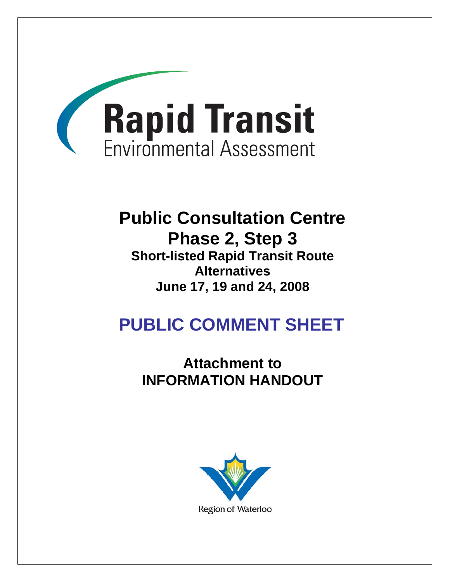

## **Public Consultation Centre Phase 2, Step 3**

**Short-listed Rapid Transit Route Alternatives June 17, 19 and 24, 2008** 

# **PUBLIC COMMENT SHEET**

**Attachment to INFORMATION HANDOUT** 

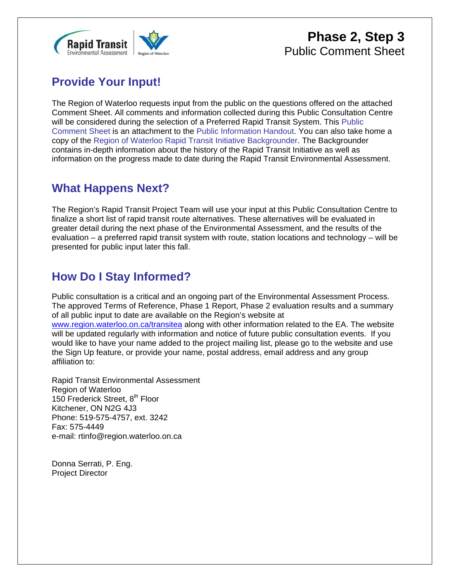

#### **Phase 2, Step 3** Public Comment Sheet

### **Provide Your Input!**

The Region of Waterloo requests input from the public on the questions offered on the attached Comment Sheet. All comments and information collected during this Public Consultation Centre will be considered during the selection of a Preferred Rapid Transit System. This Public Comment Sheet is an attachment to the Public Information Handout. You can also take home a copy of the Region of Waterloo Rapid Transit Initiative Backgrounder. The Backgrounder contains in-depth information about the history of the Rapid Transit Initiative as well as information on the progress made to date during the Rapid Transit Environmental Assessment.

#### **What Happens Next?**

The Region's Rapid Transit Project Team will use your input at this Public Consultation Centre to finalize a short list of rapid transit route alternatives. These alternatives will be evaluated in greater detail during the next phase of the Environmental Assessment, and the results of the evaluation – a preferred rapid transit system with route, station locations and technology – will be presented for public input later this fall.

#### **How Do I Stay Informed?**

Public consultation is a critical and an ongoing part of the Environmental Assessment Process. The approved Terms of Reference, Phase 1 Report, Phase 2 evaluation results and a summary of all public input to date are available on the Region's website at www.region.waterloo.on.ca/transitea along with other information related to the EA. The website will be updated regularly with information and notice of future public consultation events. If you would like to have your name added to the project mailing list, please go to the website and use the Sign Up feature, or provide your name, postal address, email address and any group affiliation to:

Rapid Transit Environmental Assessment Region of Waterloo 150 Frederick Street, 8<sup>th</sup> Floor Kitchener, ON N2G 4J3 Phone: 519-575-4757, ext. 3242 Fax: 575-4449 e-mail: rtinfo@region.waterloo.on.ca

Donna Serrati, P. Eng. Project Director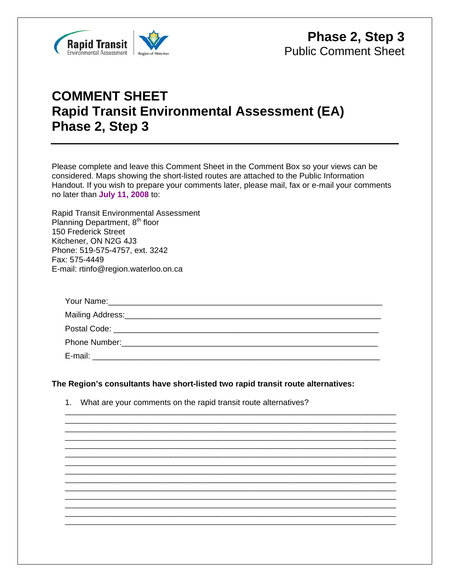

### **COMMENT SHEET Rapid Transit Environmental Assessment (EA) Phase 2, Step 3**

Please complete and leave this Comment Sheet in the Comment Box so your views can be considered. Maps showing the short-listed routes are attached to the Public Information Handout. If you wish to prepare your comments later, please mail, fax or e-mail your comments no later than **July 11, 2008** to:

Rapid Transit Environmental Assessment Planning Department, 8<sup>th</sup> floor 150 Frederick Street Kitchener, ON N2G 4J3 Phone: 519-575-4757, ext. 3242 Fax: 575-4449 E-mail: rtinfo@region.waterloo.on.ca

\_\_\_\_\_\_\_\_\_\_\_\_\_\_\_\_\_\_\_\_\_\_\_\_\_\_\_\_\_\_\_\_\_\_\_\_\_\_\_\_\_\_\_\_\_\_\_\_\_\_\_\_\_\_\_\_\_\_\_\_\_\_\_\_\_\_\_\_\_\_\_\_\_\_\_\_\_\_\_\_\_ \_\_\_\_\_\_\_\_\_\_\_\_\_\_\_\_\_\_\_\_\_\_\_\_\_\_\_\_\_\_\_\_\_\_\_\_\_\_\_\_\_\_\_\_\_\_\_\_\_\_\_\_\_\_\_\_\_\_\_\_\_\_\_\_\_\_\_\_\_\_\_\_\_\_\_\_\_\_\_\_\_ \_\_\_\_\_\_\_\_\_\_\_\_\_\_\_\_\_\_\_\_\_\_\_\_\_\_\_\_\_\_\_\_\_\_\_\_\_\_\_\_\_\_\_\_\_\_\_\_\_\_\_\_\_\_\_\_\_\_\_\_\_\_\_\_\_\_\_\_\_\_\_\_\_\_\_\_\_\_\_\_\_ \_\_\_\_\_\_\_\_\_\_\_\_\_\_\_\_\_\_\_\_\_\_\_\_\_\_\_\_\_\_\_\_\_\_\_\_\_\_\_\_\_\_\_\_\_\_\_\_\_\_\_\_\_\_\_\_\_\_\_\_\_\_\_\_\_\_\_\_\_\_\_\_\_\_\_\_\_\_\_\_\_ \_\_\_\_\_\_\_\_\_\_\_\_\_\_\_\_\_\_\_\_\_\_\_\_\_\_\_\_\_\_\_\_\_\_\_\_\_\_\_\_\_\_\_\_\_\_\_\_\_\_\_\_\_\_\_\_\_\_\_\_\_\_\_\_\_\_\_\_\_\_\_\_\_\_\_\_\_\_\_\_\_ \_\_\_\_\_\_\_\_\_\_\_\_\_\_\_\_\_\_\_\_\_\_\_\_\_\_\_\_\_\_\_\_\_\_\_\_\_\_\_\_\_\_\_\_\_\_\_\_\_\_\_\_\_\_\_\_\_\_\_\_\_\_\_\_\_\_\_\_\_\_\_\_\_\_\_\_\_\_\_\_\_ \_\_\_\_\_\_\_\_\_\_\_\_\_\_\_\_\_\_\_\_\_\_\_\_\_\_\_\_\_\_\_\_\_\_\_\_\_\_\_\_\_\_\_\_\_\_\_\_\_\_\_\_\_\_\_\_\_\_\_\_\_\_\_\_\_\_\_\_\_\_\_\_\_\_\_\_\_\_\_\_\_ \_\_\_\_\_\_\_\_\_\_\_\_\_\_\_\_\_\_\_\_\_\_\_\_\_\_\_\_\_\_\_\_\_\_\_\_\_\_\_\_\_\_\_\_\_\_\_\_\_\_\_\_\_\_\_\_\_\_\_\_\_\_\_\_\_\_\_\_\_\_\_\_\_\_\_\_\_\_\_\_\_ \_\_\_\_\_\_\_\_\_\_\_\_\_\_\_\_\_\_\_\_\_\_\_\_\_\_\_\_\_\_\_\_\_\_\_\_\_\_\_\_\_\_\_\_\_\_\_\_\_\_\_\_\_\_\_\_\_\_\_\_\_\_\_\_\_\_\_\_\_\_\_\_\_\_\_\_\_\_\_\_\_ \_\_\_\_\_\_\_\_\_\_\_\_\_\_\_\_\_\_\_\_\_\_\_\_\_\_\_\_\_\_\_\_\_\_\_\_\_\_\_\_\_\_\_\_\_\_\_\_\_\_\_\_\_\_\_\_\_\_\_\_\_\_\_\_\_\_\_\_\_\_\_\_\_\_\_\_\_\_\_\_\_ \_\_\_\_\_\_\_\_\_\_\_\_\_\_\_\_\_\_\_\_\_\_\_\_\_\_\_\_\_\_\_\_\_\_\_\_\_\_\_\_\_\_\_\_\_\_\_\_\_\_\_\_\_\_\_\_\_\_\_\_\_\_\_\_\_\_\_\_\_\_\_\_\_\_\_\_\_\_\_\_\_ \_\_\_\_\_\_\_\_\_\_\_\_\_\_\_\_\_\_\_\_\_\_\_\_\_\_\_\_\_\_\_\_\_\_\_\_\_\_\_\_\_\_\_\_\_\_\_\_\_\_\_\_\_\_\_\_\_\_\_\_\_\_\_\_\_\_\_\_\_\_\_\_\_\_\_\_\_\_\_\_\_ \_\_\_\_\_\_\_\_\_\_\_\_\_\_\_\_\_\_\_\_\_\_\_\_\_\_\_\_\_\_\_\_\_\_\_\_\_\_\_\_\_\_\_\_\_\_\_\_\_\_\_\_\_\_\_\_\_\_\_\_\_\_\_\_\_\_\_\_\_\_\_\_\_\_\_\_\_\_\_\_\_ \_\_\_\_\_\_\_\_\_\_\_\_\_\_\_\_\_\_\_\_\_\_\_\_\_\_\_\_\_\_\_\_\_\_\_\_\_\_\_\_\_\_\_\_\_\_\_\_\_\_\_\_\_\_\_\_\_\_\_\_\_\_\_\_\_\_\_\_\_\_\_\_\_\_\_\_\_\_\_\_\_

#### **The Region's consultants have short-listed two rapid transit route alternatives:**

1. What are your comments on the rapid transit route alternatives?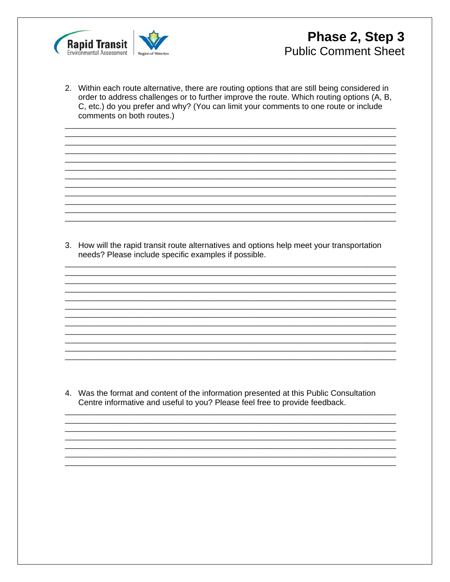

2. Within each route alternative, there are routing options that are still being considered in order to address challenges or to further improve the route. Which routing options (A, B, C, etc.) do you prefer and why? (You can limit your comments to one route or include comments on both routes.)

3. How will the rapid transit route alternatives and options help meet your transportation needs? Please include specific examples if possible.

4. Was the format and content of the information presented at this Public Consultation Centre informative and useful to you? Please feel free to provide feedback.